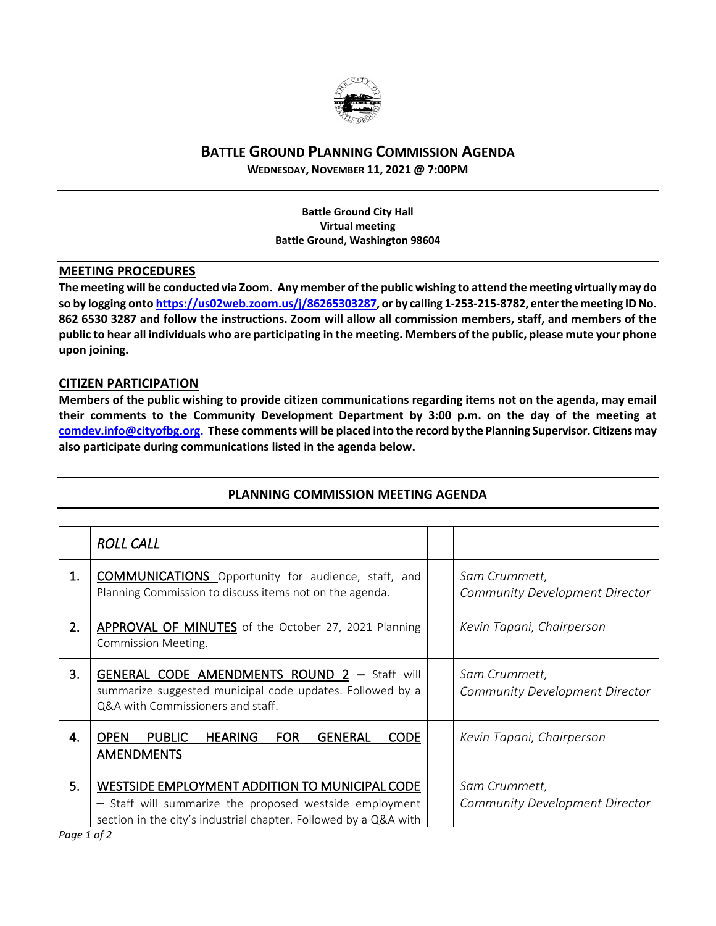

## **BATTLE GROUND PLANNING COMMISSION AGENDA**

**WEDNESDAY, NOVEMBER 11, 2021 @ 7:00PM**

**Battle Ground City Hall Virtual meeting Battle Ground, Washington 98604**

## **MEETING PROCEDURES**

**The meeting will be conducted via Zoom. Any member of the public wishing to attend the meeting virtually may do so by logging onto [https://us02web.zoom.us/j/86265303287,](https://us02web.zoom.us/j/86265303287) or by calling 1-253-215-8782, enter the meeting IDNo. 862 6530 3287 and follow the instructions. Zoom will allow all commission members, staff, and members of the public to hear all individuals who are participating in the meeting. Members of the public, please mute your phone upon joining.**

## **CITIZEN PARTICIPATION**

**Members of the public wishing to provide citizen communications regarding items not on the agenda, may email their comments to the Community Development Department by 3:00 p.m. on the day of the meeting at [comdev.info@cityofbg.org.](mailto:comdev.info@cityofbg.org) These comments will be placed into the record by the Planning Supervisor. Citizens may also participate during communications listed in the agenda below.** 

|    | <b>ROLL CALL</b>                                                                                                                                                              |                                                        |
|----|-------------------------------------------------------------------------------------------------------------------------------------------------------------------------------|--------------------------------------------------------|
| 1. | <b>COMMUNICATIONS</b> Opportunity for audience, staff, and<br>Planning Commission to discuss items not on the agenda.                                                         | Sam Crummett,<br><b>Community Development Director</b> |
| 2. | APPROVAL OF MINUTES of the October 27, 2021 Planning<br>Commission Meeting.                                                                                                   | Kevin Tapani, Chairperson                              |
| 3. | <b>GENERAL CODE AMENDMENTS ROUND 2 - Staff will</b><br>summarize suggested municipal code updates. Followed by a<br>Q&A with Commissioners and staff.                         | Sam Crummett,<br>Community Development Director        |
| 4. | <b>OPEN</b><br><b>PUBLIC</b><br><b>HEARING</b><br><b>FOR</b><br><b>GENERAL</b><br><b>CODE</b><br><b>AMENDMENTS</b>                                                            | Kevin Tapani, Chairperson                              |
| 5. | WESTSIDE EMPLOYMENT ADDITION TO MUNICIPAL CODE<br>- Staff will summarize the proposed westside employment<br>section in the city's industrial chapter. Followed by a Q&A with | Sam Crummett,<br><b>Community Development Director</b> |

## **PLANNING COMMISSION MEETING AGENDA**